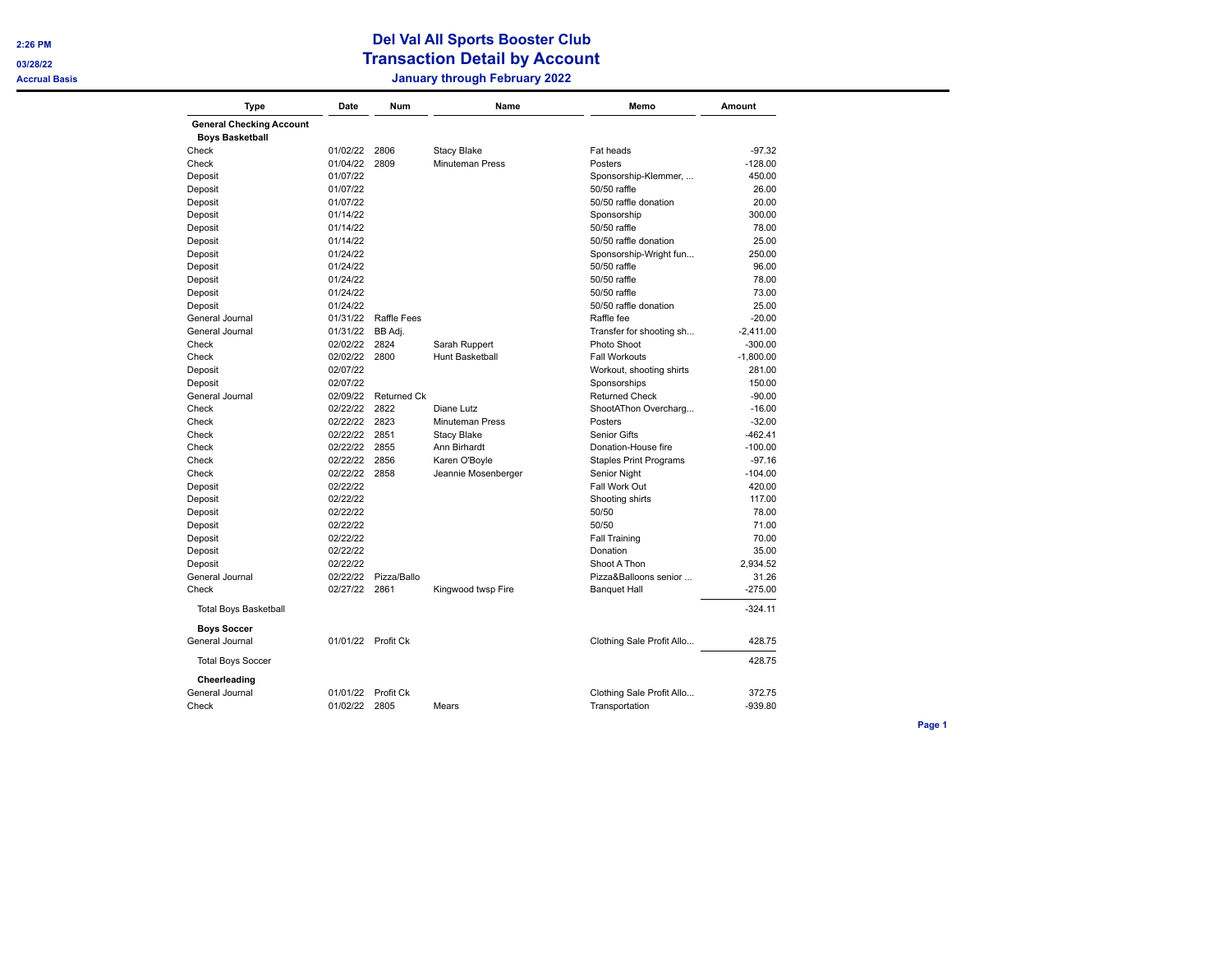**2:26 PM** 

**03/28/22** 

## **Del Val All Sports Booster Club Transaction Detail by Account Accrual Basis January through February 2022**

| Type                                  | Date     | Num                | Name                   | Memo                          | Amount      |
|---------------------------------------|----------|--------------------|------------------------|-------------------------------|-------------|
| <b>General Checking Account</b>       |          |                    |                        |                               |             |
| <b>Boys Basketball</b>                |          |                    |                        |                               |             |
| Check                                 | 01/02/22 | 2806               | <b>Stacy Blake</b>     | Fat heads                     | $-97.32$    |
| Check                                 | 01/04/22 | 2809               | <b>Minuteman Press</b> | Posters                       | $-128.00$   |
| Deposit                               | 01/07/22 |                    |                        | Sponsorship-Klemmer,          | 450.00      |
| Deposit                               | 01/07/22 |                    |                        | 50/50 raffle                  | 26.00       |
| Deposit                               | 01/07/22 |                    |                        | 50/50 raffle donation         | 20.00       |
| Deposit                               | 01/14/22 |                    |                        | Sponsorship                   | 300.00      |
| Deposit                               | 01/14/22 |                    |                        | 50/50 raffle                  | 78.00       |
| Deposit                               | 01/14/22 |                    |                        | 50/50 raffle donation         | 25.00       |
| Deposit                               | 01/24/22 |                    |                        | Sponsorship-Wright fun        | 250.00      |
| Deposit                               | 01/24/22 |                    |                        | 50/50 raffle                  | 96.00       |
| Deposit                               | 01/24/22 |                    |                        | 50/50 raffle                  | 78.00       |
| Deposit                               | 01/24/22 |                    |                        | 50/50 raffle                  | 73.00       |
| Deposit                               | 01/24/22 |                    |                        | 50/50 raffle donation         | 25.00       |
| General Journal                       | 01/31/22 | Raffle Fees        |                        | Raffle fee                    | $-20.00$    |
| General Journal                       | 01/31/22 | BB Adj.            |                        | Transfer for shooting sh      | $-2,411.00$ |
| Check                                 | 02/02/22 | 2824               | Sarah Ruppert          | Photo Shoot                   | $-300.00$   |
| Check                                 | 02/02/22 | 2800               | Hunt Basketball        | <b>Fall Workouts</b>          | $-1,800.00$ |
| Deposit                               | 02/07/22 |                    |                        | Workout, shooting shirts      | 281.00      |
| Deposit                               | 02/07/22 |                    |                        | Sponsorships                  | 150.00      |
| General Journal                       | 02/09/22 | <b>Returned Ck</b> |                        | <b>Returned Check</b>         | $-90.00$    |
| Check                                 | 02/22/22 | 2822               | Diane Lutz             | ShootAThon Overcharg          | $-16.00$    |
| Check                                 | 02/22/22 | 2823               | <b>Minuteman Press</b> | Posters                       | $-32.00$    |
| Check                                 | 02/22/22 | 2851               | <b>Stacy Blake</b>     | Senior Gifts                  | $-462.41$   |
| Check                                 | 02/22/22 | 2855               | Ann Birhardt           | Donation-House fire           | $-100.00$   |
| Check                                 | 02/22/22 | 2856               | Karen O'Boyle          | <b>Staples Print Programs</b> | $-97.16$    |
| Check                                 | 02/22/22 | 2858               | Jeannie Mosenberger    | Senior Night                  | $-104.00$   |
| Deposit                               | 02/22/22 |                    |                        | Fall Work Out                 | 420.00      |
| Deposit                               | 02/22/22 |                    |                        | Shooting shirts               | 117.00      |
| Deposit                               | 02/22/22 |                    |                        | 50/50                         | 78.00       |
| Deposit                               | 02/22/22 |                    |                        | 50/50                         | 71.00       |
| Deposit                               | 02/22/22 |                    |                        | <b>Fall Training</b>          | 70.00       |
| Deposit                               | 02/22/22 |                    |                        | Donation                      | 35.00       |
| Deposit                               | 02/22/22 |                    |                        | Shoot A Thon                  | 2.934.52    |
| General Journal                       | 02/22/22 | Pizza/Ballo        |                        | Pizza&Balloons senior         | 31.26       |
| Check                                 | 02/27/22 | 2861               | Kingwood twsp Fire     | <b>Banquet Hall</b>           | $-275.00$   |
| <b>Total Boys Basketball</b>          |          |                    |                        |                               | $-324.11$   |
| <b>Boys Soccer</b><br>General Journal |          | 01/01/22 Profit Ck |                        | Clothing Sale Profit Allo     | 428.75      |
|                                       |          |                    |                        |                               |             |
| <b>Total Boys Soccer</b>              |          |                    |                        |                               | 428.75      |
| Cheerleading<br>General Journal       | 01/01/22 | Profit Ck          |                        | Clothing Sale Profit Allo     | 372.75      |
| Check                                 | 01/02/22 | 2805               | Mears                  | Transportation                | $-939.80$   |
|                                       |          |                    |                        |                               |             |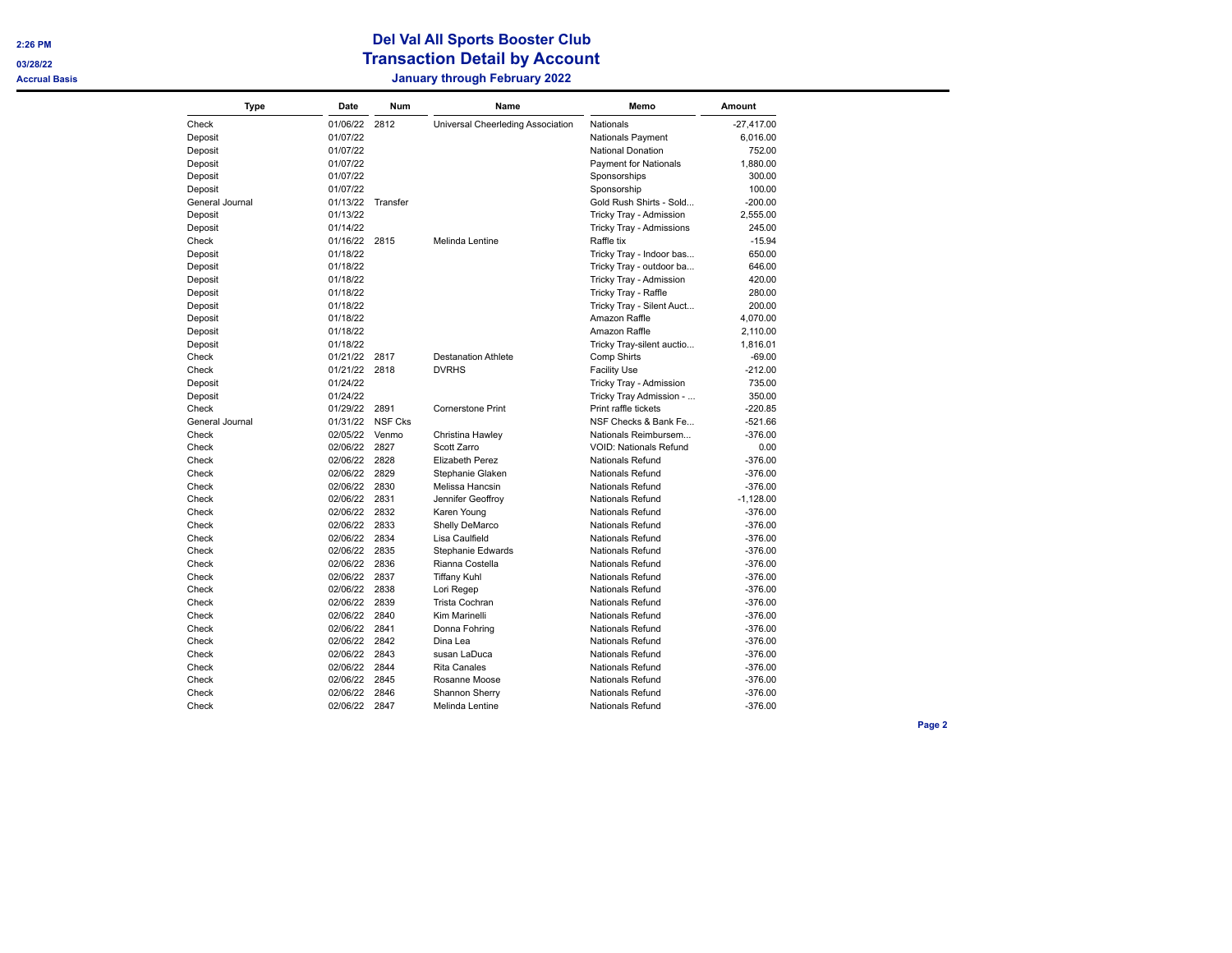| Type            | Date     | <b>Num</b>     | Name                              | Memo                          | <b>Amount</b> |
|-----------------|----------|----------------|-----------------------------------|-------------------------------|---------------|
| Check           | 01/06/22 | 2812           | Universal Cheerleding Association | <b>Nationals</b>              | $-27,417.00$  |
| Deposit         | 01/07/22 |                |                                   | <b>Nationals Payment</b>      | 6,016.00      |
| Deposit         | 01/07/22 |                |                                   | <b>National Donation</b>      | 752.00        |
| Deposit         | 01/07/22 |                |                                   | <b>Payment for Nationals</b>  | 1,880.00      |
| Deposit         | 01/07/22 |                |                                   | Sponsorships                  | 300.00        |
| Deposit         | 01/07/22 |                |                                   | Sponsorship                   | 100.00        |
| General Journal | 01/13/22 | Transfer       |                                   | Gold Rush Shirts - Sold       | $-200.00$     |
| Deposit         | 01/13/22 |                |                                   | Tricky Tray - Admission       | 2,555.00      |
| Deposit         | 01/14/22 |                |                                   | Tricky Tray - Admissions      | 245.00        |
| Check           | 01/16/22 | 2815           | Melinda Lentine                   | Raffle tix                    | $-15.94$      |
| Deposit         | 01/18/22 |                |                                   | Tricky Tray - Indoor bas      | 650.00        |
| Deposit         | 01/18/22 |                |                                   | Tricky Tray - outdoor ba      | 646.00        |
| Deposit         | 01/18/22 |                |                                   | Tricky Tray - Admission       | 420.00        |
| Deposit         | 01/18/22 |                |                                   | Tricky Tray - Raffle          | 280.00        |
| Deposit         | 01/18/22 |                |                                   | Tricky Tray - Silent Auct     | 200.00        |
| Deposit         | 01/18/22 |                |                                   | Amazon Raffle                 | 4,070.00      |
| Deposit         | 01/18/22 |                |                                   | Amazon Raffle                 | 2,110.00      |
| Deposit         | 01/18/22 |                |                                   | Tricky Tray-silent auctio     | 1,816.01      |
| Check           | 01/21/22 | 2817           | <b>Destanation Athlete</b>        | Comp Shirts                   | $-69.00$      |
| Check           | 01/21/22 | 2818           | <b>DVRHS</b>                      | <b>Facility Use</b>           | $-212.00$     |
| Deposit         | 01/24/22 |                |                                   | Tricky Tray - Admission       | 735.00        |
| Deposit         | 01/24/22 |                |                                   | Tricky Tray Admission -       | 350.00        |
| Check           | 01/29/22 | 2891           | <b>Cornerstone Print</b>          | Print raffle tickets          | $-220.85$     |
| General Journal | 01/31/22 | <b>NSF Cks</b> |                                   | NSF Checks & Bank Fe          | $-521.66$     |
| Check           | 02/05/22 | Venmo          | Christina Hawley                  | Nationals Reimbursem          | $-376.00$     |
| Check           | 02/06/22 | 2827           | Scott Zarro                       | <b>VOID: Nationals Refund</b> | 0.00          |
| Check           | 02/06/22 | 2828           | Elizabeth Perez                   | <b>Nationals Refund</b>       | $-376.00$     |
| Check           | 02/06/22 | 2829           | Stephanie Glaken                  | <b>Nationals Refund</b>       | $-376.00$     |
| Check           | 02/06/22 | 2830           | Melissa Hancsin                   | <b>Nationals Refund</b>       | $-376.00$     |
| Check           | 02/06/22 | 2831           | Jennifer Geoffroy                 | <b>Nationals Refund</b>       | $-1,128.00$   |
| Check           | 02/06/22 | 2832           | Karen Young                       | <b>Nationals Refund</b>       | $-376.00$     |
| Check           | 02/06/22 | 2833           | Shelly DeMarco                    | <b>Nationals Refund</b>       | $-376.00$     |
| Check           | 02/06/22 | 2834           | Lisa Caulfield                    | <b>Nationals Refund</b>       | $-376.00$     |
| Check           | 02/06/22 | 2835           | Stephanie Edwards                 | <b>Nationals Refund</b>       | $-376.00$     |
| Check           | 02/06/22 | 2836           | Rianna Costella                   | <b>Nationals Refund</b>       | $-376.00$     |
| Check           | 02/06/22 | 2837           | <b>Tiffany Kuhl</b>               | <b>Nationals Refund</b>       | $-376.00$     |
| Check           | 02/06/22 | 2838           | Lori Regep                        | <b>Nationals Refund</b>       | $-376.00$     |
| Check           | 02/06/22 | 2839           | Trista Cochran                    | <b>Nationals Refund</b>       | $-376.00$     |
| Check           | 02/06/22 | 2840           | Kim Marinelli                     | <b>Nationals Refund</b>       | $-376.00$     |
| Check           | 02/06/22 | 2841           | Donna Fohring                     | Nationals Refund              | $-376.00$     |
| Check           | 02/06/22 | 2842           | Dina Lea                          | <b>Nationals Refund</b>       | $-376.00$     |
| Check           | 02/06/22 | 2843           | susan LaDuca                      | <b>Nationals Refund</b>       | $-376.00$     |
| Check           | 02/06/22 | 2844           | <b>Rita Canales</b>               | <b>Nationals Refund</b>       | $-376.00$     |
| Check           | 02/06/22 | 2845           | Rosanne Moose                     | Nationals Refund              | $-376.00$     |
| Check           | 02/06/22 | 2846           | Shannon Sherry                    | <b>Nationals Refund</b>       | $-376.00$     |
| Check           | 02/06/22 | 2847           | Melinda Lentine                   | <b>Nationals Refund</b>       | $-376.00$     |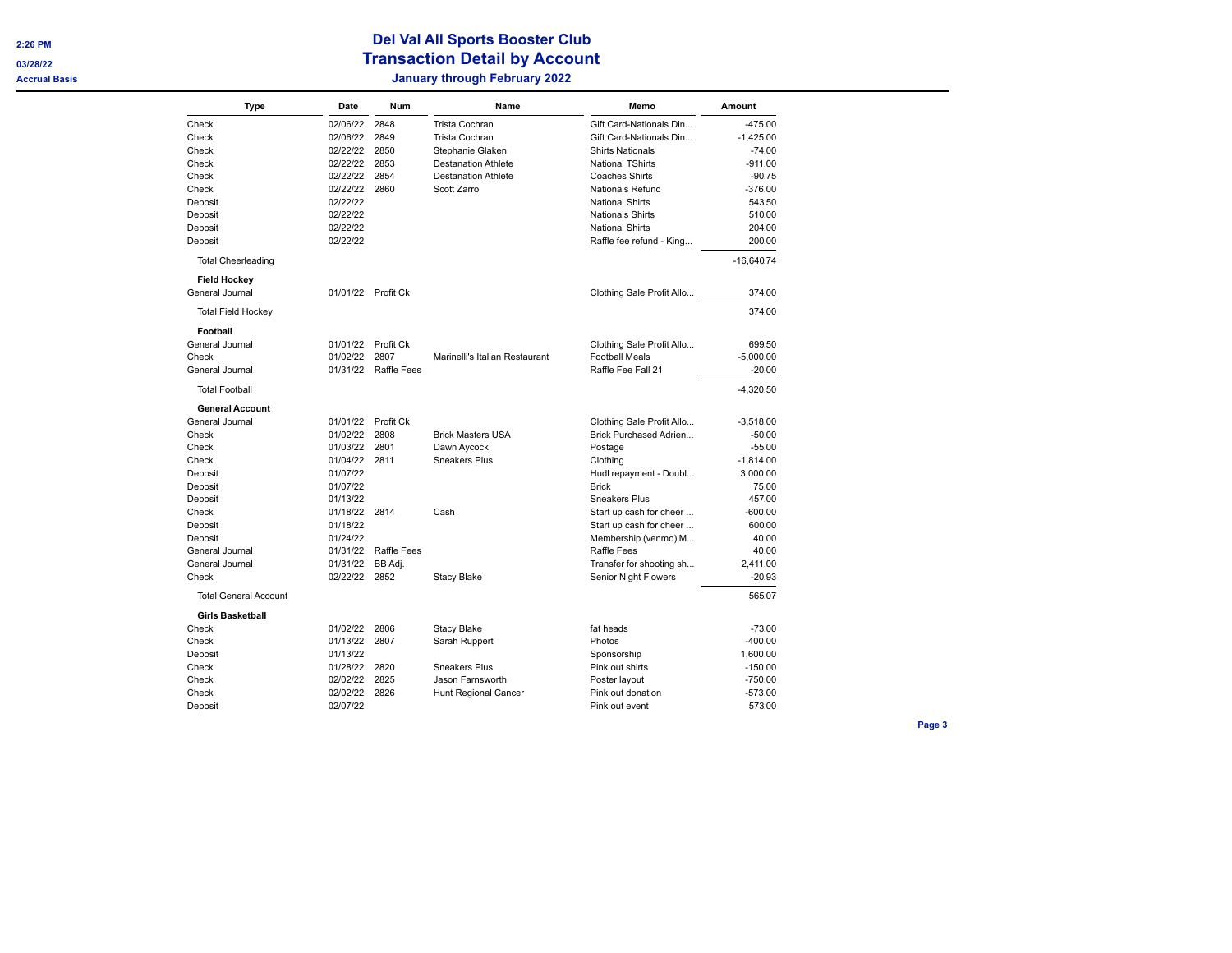| Type                         | Date          | Num                  | Name                           | Memo                      | Amount       |
|------------------------------|---------------|----------------------|--------------------------------|---------------------------|--------------|
| Check                        | 02/06/22      | 2848                 | Trista Cochran                 | Gift Card-Nationals Din   | $-475.00$    |
| Check                        | 02/06/22      | 2849                 | Trista Cochran                 | Gift Card-Nationals Din   | $-1,425.00$  |
| Check                        | 02/22/22      | 2850                 | Stephanie Glaken               | <b>Shirts Nationals</b>   | $-74.00$     |
| Check                        | 02/22/22      | 2853                 | <b>Destanation Athlete</b>     | <b>National TShirts</b>   | $-911.00$    |
| Check                        | 02/22/22      | 2854                 | <b>Destanation Athlete</b>     | <b>Coaches Shirts</b>     | $-90.75$     |
| Check                        | 02/22/22      | 2860                 | Scott Zarro                    | Nationals Refund          | $-376.00$    |
| Deposit                      | 02/22/22      |                      |                                | <b>National Shirts</b>    | 543.50       |
| Deposit                      | 02/22/22      |                      |                                | <b>Nationals Shirts</b>   | 510.00       |
| Deposit                      | 02/22/22      |                      |                                | <b>National Shirts</b>    | 204.00       |
| Deposit                      | 02/22/22      |                      |                                | Raffle fee refund - King  | 200.00       |
| <b>Total Cheerleading</b>    |               |                      |                                |                           | $-16,640.74$ |
| <b>Field Hockey</b>          |               |                      |                                |                           |              |
| General Journal              |               | 01/01/22 Profit Ck   |                                | Clothing Sale Profit Allo | 374.00       |
| <b>Total Field Hockey</b>    |               |                      |                                |                           | 374.00       |
| Football                     |               |                      |                                |                           |              |
| General Journal              | 01/01/22      | Profit Ck            |                                | Clothing Sale Profit Allo | 699.50       |
| Check                        | 01/02/22      | 2807                 | Marinelli's Italian Restaurant | <b>Football Meals</b>     | $-5,000.00$  |
| General Journal              |               | 01/31/22 Raffle Fees |                                | Raffle Fee Fall 21        | $-20.00$     |
| <b>Total Football</b>        |               |                      |                                |                           | $-4,320.50$  |
| <b>General Account</b>       |               |                      |                                |                           |              |
| General Journal              | 01/01/22      | Profit Ck            |                                | Clothing Sale Profit Allo | $-3,518.00$  |
| Check                        | 01/02/22      | 2808                 | <b>Brick Masters USA</b>       | Brick Purchased Adrien    | $-50.00$     |
| Check                        | 01/03/22      | 2801                 | Dawn Aycock                    | Postage                   | $-55.00$     |
| Check                        | 01/04/22      | 2811                 | Sneakers Plus                  | Clothing                  | $-1,814.00$  |
| Deposit                      | 01/07/22      |                      |                                | Hudl repayment - Doubl    | 3,000.00     |
| Deposit                      | 01/07/22      |                      |                                | <b>Brick</b>              | 75.00        |
| Deposit                      | 01/13/22      |                      |                                | <b>Sneakers Plus</b>      | 457.00       |
| Check                        | 01/18/22 2814 |                      | Cash                           | Start up cash for cheer   | $-600.00$    |
| Deposit                      | 01/18/22      |                      |                                | Start up cash for cheer   | 600.00       |
| Deposit                      | 01/24/22      |                      |                                | Membership (venmo) M      | 40.00        |
| General Journal              | 01/31/22      | <b>Raffle Fees</b>   |                                | <b>Raffle Fees</b>        | 40.00        |
| General Journal              | 01/31/22      | BB Adj.              |                                | Transfer for shooting sh  | 2,411.00     |
| Check                        | 02/22/22      | 2852                 | <b>Stacy Blake</b>             | Senior Night Flowers      | $-20.93$     |
| <b>Total General Account</b> |               |                      |                                |                           | 565.07       |
| <b>Girls Basketball</b>      |               |                      |                                |                           |              |
| Check                        | 01/02/22      | 2806                 | <b>Stacy Blake</b>             | fat heads                 | $-73.00$     |
| Check                        | 01/13/22      | 2807                 | Sarah Ruppert                  | Photos                    | $-400.00$    |
| Deposit                      | 01/13/22      |                      |                                | Sponsorship               | 1,600.00     |
| Check                        | 01/28/22      | 2820                 | Sneakers Plus                  | Pink out shirts           | $-150.00$    |
| Check                        | 02/02/22      | 2825                 | Jason Farnsworth               | Poster layout             | $-750.00$    |
| Check                        | 02/02/22      | 2826                 | Hunt Regional Cancer           | Pink out donation         | $-573.00$    |
| Deposit                      | 02/07/22      |                      |                                | Pink out event            | 573.00       |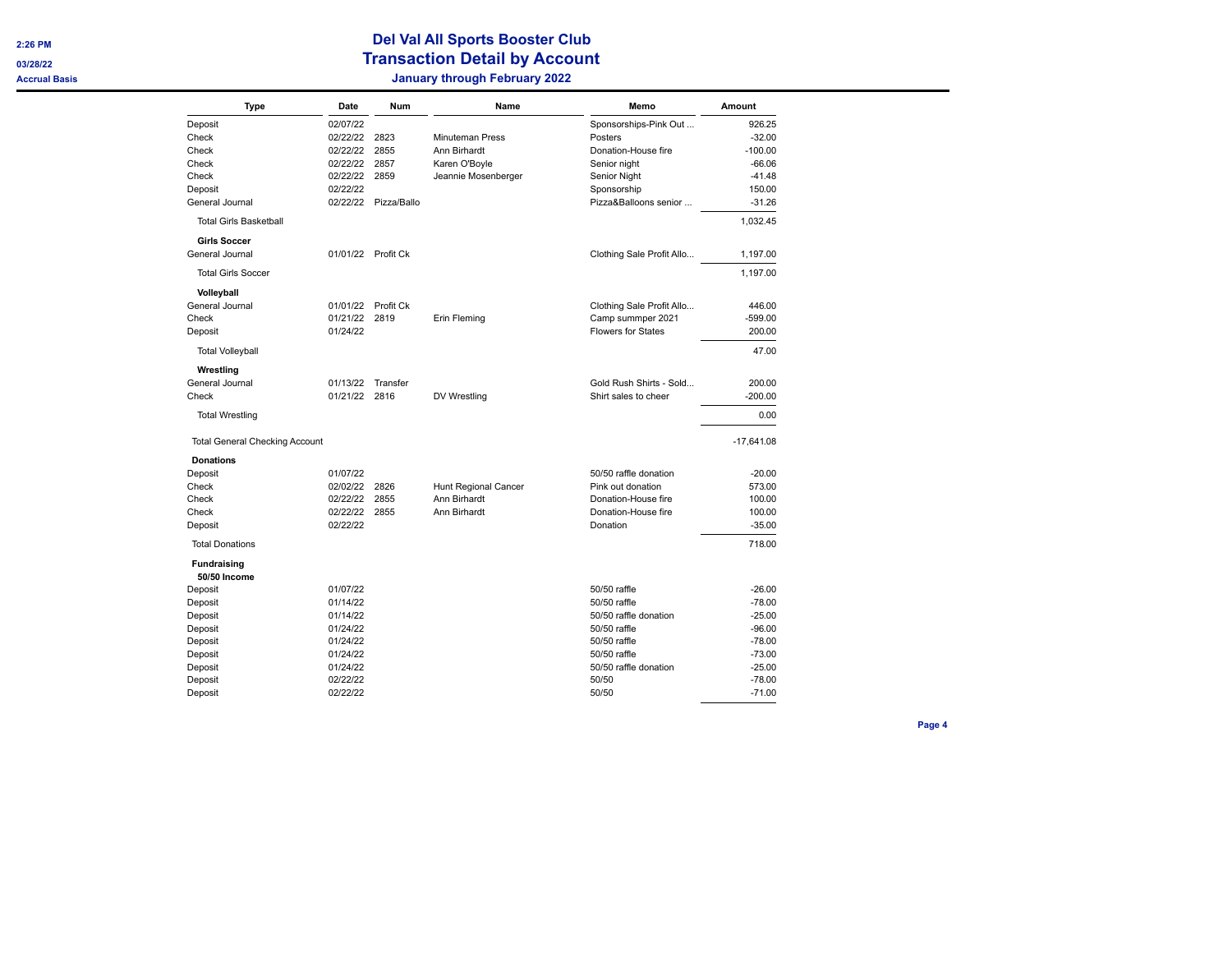| <b>Type</b>                               | Date          | <b>Num</b>           | Name                   | Memo                      | <b>Amount</b> |
|-------------------------------------------|---------------|----------------------|------------------------|---------------------------|---------------|
| Deposit                                   | 02/07/22      |                      |                        | Sponsorships-Pink Out     | 926.25        |
| Check                                     | 02/22/22      | 2823                 | <b>Minuteman Press</b> | Posters                   | $-32.00$      |
| Check                                     | 02/22/22      | 2855                 | Ann Birhardt           | Donation-House fire       | $-100.00$     |
| Check                                     | 02/22/22      | 2857                 | Karen O'Boyle          | Senior night              | $-66.06$      |
| Check                                     | 02/22/22      | 2859                 | Jeannie Mosenberger    | Senior Night              | $-41.48$      |
| Deposit                                   | 02/22/22      |                      |                        | Sponsorship               | 150.00        |
| General Journal                           |               | 02/22/22 Pizza/Ballo |                        | Pizza&Balloons senior     | $-31.26$      |
| <b>Total Girls Basketball</b>             |               |                      |                        |                           | 1,032.45      |
| <b>Girls Soccer</b>                       |               |                      |                        |                           |               |
| General Journal                           |               | 01/01/22 Profit Ck   |                        | Clothing Sale Profit Allo | 1,197.00      |
| <b>Total Girls Soccer</b>                 |               |                      |                        |                           | 1,197.00      |
| Volleyball<br>General Journal             |               |                      |                        |                           |               |
|                                           |               | 01/01/22 Profit Ck   |                        | Clothing Sale Profit Allo | 446.00        |
| Check                                     | 01/21/22      | 2819                 | Erin Fleming           | Camp summper 2021         | $-599.00$     |
| Deposit                                   | 01/24/22      |                      |                        | <b>Flowers for States</b> | 200.00        |
| <b>Total Volleyball</b>                   |               |                      |                        |                           | 47.00         |
| Wrestling                                 |               |                      |                        |                           |               |
| General Journal                           | 01/13/22      | Transfer             |                        | Gold Rush Shirts - Sold   | 200.00        |
| Check                                     | 01/21/22 2816 |                      | DV Wrestling           | Shirt sales to cheer      | $-200.00$     |
| <b>Total Wrestling</b>                    |               |                      |                        |                           | 0.00          |
| <b>Total General Checking Account</b>     |               |                      |                        |                           | $-17,641.08$  |
| <b>Donations</b>                          |               |                      |                        |                           |               |
| Deposit                                   | 01/07/22      |                      |                        | 50/50 raffle donation     | $-20.00$      |
| Check                                     | 02/02/22      | 2826                 | Hunt Regional Cancer   | Pink out donation         | 573.00        |
| Check                                     | 02/22/22      | 2855                 | Ann Birhardt           | Donation-House fire       | 100.00        |
| Check                                     | 02/22/22      | 2855                 | Ann Birhardt           | Donation-House fire       | 100.00        |
| Deposit                                   | 02/22/22      |                      |                        | Donation                  | $-35.00$      |
| <b>Total Donations</b>                    |               |                      |                        |                           | 718.00        |
| <b>Fundraising</b><br><b>50/50 Income</b> |               |                      |                        |                           |               |
| Deposit                                   | 01/07/22      |                      |                        | 50/50 raffle              | $-26.00$      |
| Deposit                                   | 01/14/22      |                      |                        | 50/50 raffle              | $-78.00$      |
| Deposit                                   | 01/14/22      |                      |                        | 50/50 raffle donation     | $-25.00$      |
| Deposit                                   | 01/24/22      |                      |                        | 50/50 raffle              | $-96.00$      |
| Deposit                                   | 01/24/22      |                      |                        | 50/50 raffle              | $-78.00$      |
| Deposit                                   | 01/24/22      |                      |                        | 50/50 raffle              | $-73.00$      |
| Deposit                                   | 01/24/22      |                      |                        | 50/50 raffle donation     | $-25.00$      |
| Deposit                                   | 02/22/22      |                      |                        | 50/50                     | $-78.00$      |
| Deposit                                   | 02/22/22      |                      |                        | 50/50                     | $-71.00$      |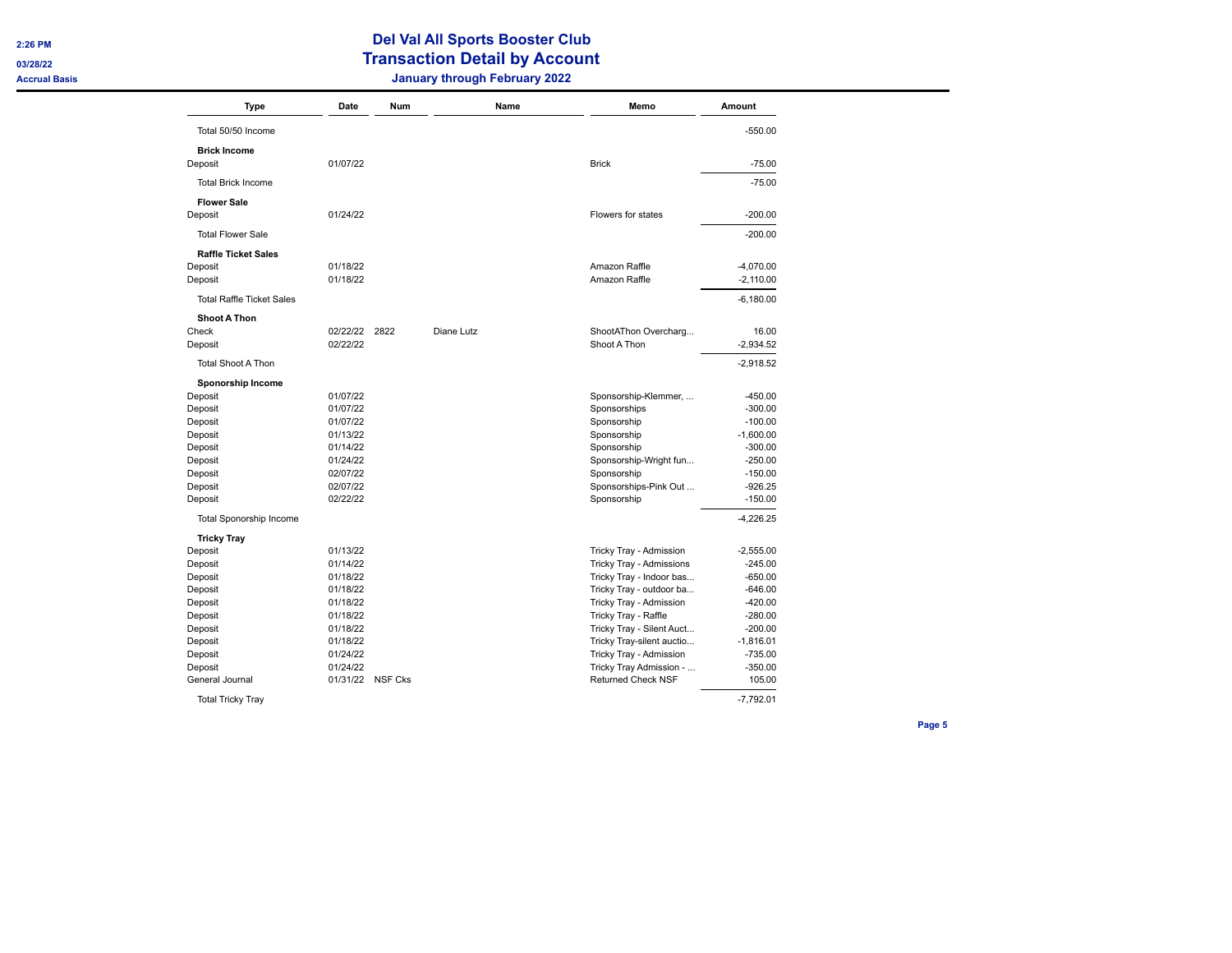| <b>Type</b>                      | Date          | Num            |            | Name | Memo                      | Amount      |
|----------------------------------|---------------|----------------|------------|------|---------------------------|-------------|
| Total 50/50 Income               |               |                |            |      |                           | $-550.00$   |
| <b>Brick Income</b>              |               |                |            |      |                           |             |
| Deposit                          | 01/07/22      |                |            |      | <b>Brick</b>              | $-75.00$    |
| <b>Total Brick Income</b>        |               |                |            |      |                           | $-75.00$    |
| <b>Flower Sale</b>               |               |                |            |      |                           |             |
| Deposit                          | 01/24/22      |                |            |      | Flowers for states        | $-200.00$   |
| <b>Total Flower Sale</b>         |               |                |            |      |                           | $-200.00$   |
| <b>Raffle Ticket Sales</b>       |               |                |            |      |                           |             |
| Deposit                          | 01/18/22      |                |            |      | Amazon Raffle             | $-4,070.00$ |
| Deposit                          | 01/18/22      |                |            |      | Amazon Raffle             | $-2,110.00$ |
| <b>Total Raffle Ticket Sales</b> |               |                |            |      |                           | $-6,180.00$ |
| <b>Shoot A Thon</b>              |               |                |            |      |                           |             |
| Check                            | 02/22/22 2822 |                | Diane Lutz |      | ShootAThon Overcharg      | 16.00       |
| Deposit                          | 02/22/22      |                |            |      | Shoot A Thon              | $-2,934.52$ |
| <b>Total Shoot A Thon</b>        |               |                |            |      |                           | $-2,918.52$ |
| Sponorship Income                |               |                |            |      |                           |             |
| Deposit                          | 01/07/22      |                |            |      | Sponsorship-Klemmer,      | $-450.00$   |
| Deposit                          | 01/07/22      |                |            |      | Sponsorships              | $-300.00$   |
| Deposit                          | 01/07/22      |                |            |      | Sponsorship               | $-100.00$   |
| Deposit                          | 01/13/22      |                |            |      | Sponsorship               | $-1,600.00$ |
| Deposit                          | 01/14/22      |                |            |      | Sponsorship               | $-300.00$   |
| Deposit                          | 01/24/22      |                |            |      | Sponsorship-Wright fun    | $-250.00$   |
| Deposit                          | 02/07/22      |                |            |      | Sponsorship               | -150.00     |
| Deposit                          | 02/07/22      |                |            |      | Sponsorships-Pink Out     | $-926.25$   |
| Deposit                          | 02/22/22      |                |            |      | Sponsorship               | $-150.00$   |
| <b>Total Sponorship Income</b>   |               |                |            |      |                           | $-4,226.25$ |
| <b>Tricky Tray</b>               |               |                |            |      |                           |             |
| Deposit                          | 01/13/22      |                |            |      | Tricky Tray - Admission   | $-2,555.00$ |
| Deposit                          | 01/14/22      |                |            |      | Tricky Tray - Admissions  | $-245.00$   |
| Deposit                          | 01/18/22      |                |            |      | Tricky Tray - Indoor bas  | $-650.00$   |
| Deposit                          | 01/18/22      |                |            |      | Tricky Tray - outdoor ba  | $-646.00$   |
| Deposit                          | 01/18/22      |                |            |      | Tricky Tray - Admission   | $-420.00$   |
| Deposit                          | 01/18/22      |                |            |      | Tricky Tray - Raffle      | $-280.00$   |
| Deposit                          | 01/18/22      |                |            |      | Tricky Tray - Silent Auct | $-200.00$   |
| Deposit                          | 01/18/22      |                |            |      | Tricky Tray-silent auctio | $-1,816.01$ |
| Deposit                          | 01/24/22      |                |            |      | Tricky Tray - Admission   | $-735.00$   |
| Deposit                          | 01/24/22      |                |            |      | Tricky Tray Admission -   | $-350.00$   |
| General Journal                  | 01/31/22      | <b>NSF Cks</b> |            |      | <b>Returned Check NSF</b> | 105.00      |
| <b>Total Tricky Tray</b>         |               |                |            |      |                           | $-7.792.01$ |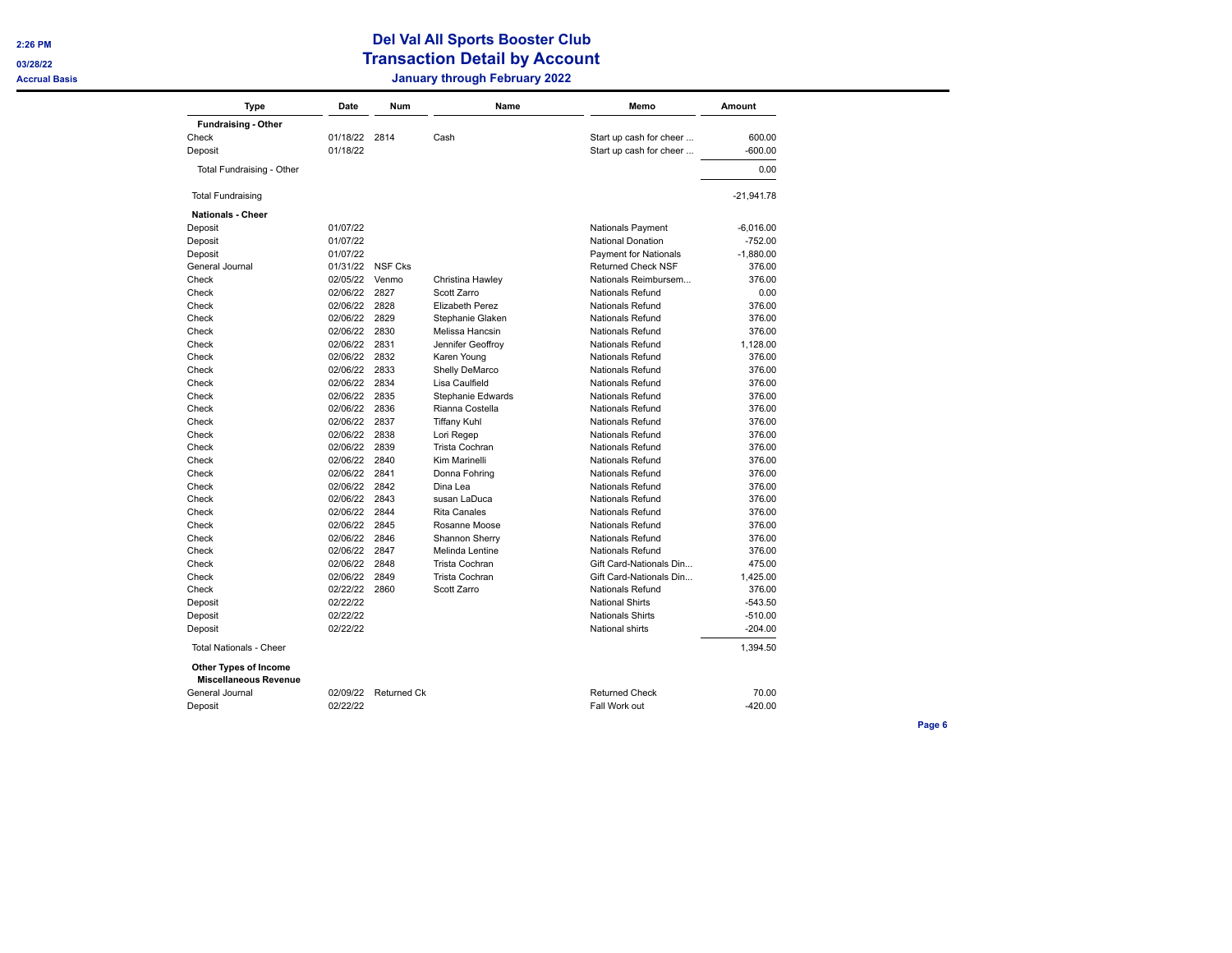**03/28/22** 

# **Del Val All Sports Booster Club Transaction Detail by Account Accrual Basis January through February 2022**

| <b>Type</b>                    | Date     | <b>Num</b>     | Name                   | Memo                         | Amount       |
|--------------------------------|----------|----------------|------------------------|------------------------------|--------------|
| <b>Fundraising - Other</b>     |          |                |                        |                              |              |
| Check                          | 01/18/22 | 2814           | Cash                   | Start up cash for cheer      | 600.00       |
| Deposit                        | 01/18/22 |                |                        | Start up cash for cheer      | $-600.00$    |
| Total Fundraising - Other      |          |                |                        |                              | 0.00         |
| <b>Total Fundraising</b>       |          |                |                        |                              | $-21,941.78$ |
| <b>Nationals - Cheer</b>       |          |                |                        |                              |              |
| Deposit                        | 01/07/22 |                |                        | Nationals Payment            | $-6,016.00$  |
| Deposit                        | 01/07/22 |                |                        | <b>National Donation</b>     | $-752.00$    |
| Deposit                        | 01/07/22 |                |                        | <b>Payment for Nationals</b> | $-1,880.00$  |
| General Journal                | 01/31/22 | <b>NSF Cks</b> |                        | <b>Returned Check NSF</b>    | 376.00       |
| Check                          | 02/05/22 | Venmo          | Christina Hawley       | Nationals Reimbursem         | 376.00       |
| Check                          | 02/06/22 | 2827           | Scott Zarro            | Nationals Refund             | 0.00         |
| Check                          | 02/06/22 | 2828           | <b>Elizabeth Perez</b> | <b>Nationals Refund</b>      | 376.00       |
| Check                          | 02/06/22 | 2829           | Stephanie Glaken       | <b>Nationals Refund</b>      | 376.00       |
| Check                          | 02/06/22 | 2830           | Melissa Hancsin        | Nationals Refund             | 376.00       |
| Check                          | 02/06/22 | 2831           | Jennifer Geoffroy      | <b>Nationals Refund</b>      | 1,128.00     |
| Check                          | 02/06/22 | 2832           | Karen Young            | Nationals Refund             | 376.00       |
| Check                          | 02/06/22 | 2833           | Shelly DeMarco         | <b>Nationals Refund</b>      | 376.00       |
| Check                          | 02/06/22 | 2834           | Lisa Caulfield         | <b>Nationals Refund</b>      | 376.00       |
| Check                          | 02/06/22 | 2835           | Stephanie Edwards      | <b>Nationals Refund</b>      | 376.00       |
| Check                          | 02/06/22 | 2836           | Rianna Costella        | Nationals Refund             | 376.00       |
| Check                          | 02/06/22 | 2837           | <b>Tiffany Kuhl</b>    | Nationals Refund             | 376.00       |
| Check                          | 02/06/22 | 2838           | Lori Regep             | <b>Nationals Refund</b>      | 376.00       |
| Check                          | 02/06/22 | 2839           | Trista Cochran         | Nationals Refund             | 376.00       |
| Check                          | 02/06/22 | 2840           | Kim Marinelli          | <b>Nationals Refund</b>      | 376.00       |
| Check                          | 02/06/22 | 2841           | Donna Fohring          | Nationals Refund             | 376.00       |
| Check                          | 02/06/22 | 2842           | Dina Lea               | <b>Nationals Refund</b>      | 376.00       |
| Check                          | 02/06/22 | 2843           | susan LaDuca           | <b>Nationals Refund</b>      | 376.00       |
| Check                          | 02/06/22 | 2844           | Rita Canales           | Nationals Refund             | 376.00       |
| Check                          | 02/06/22 | 2845           | Rosanne Moose          | Nationals Refund             | 376.00       |
| Check                          | 02/06/22 | 2846           | Shannon Sherry         | Nationals Refund             | 376.00       |
| Check                          | 02/06/22 | 2847           | Melinda Lentine        | <b>Nationals Refund</b>      | 376.00       |
| Check                          | 02/06/22 | 2848           | Trista Cochran         | Gift Card-Nationals Din      | 475.00       |
| Check                          | 02/06/22 | 2849           | <b>Trista Cochran</b>  | Gift Card-Nationals Din      | 1,425.00     |
| Check                          | 02/22/22 | 2860           | Scott Zarro            | Nationals Refund             | 376.00       |
|                                | 02/22/22 |                |                        | <b>National Shirts</b>       | $-543.50$    |
| Deposit                        | 02/22/22 |                |                        | <b>Nationals Shirts</b>      | $-510.00$    |
| Deposit<br>Deposit             | 02/22/22 |                |                        | National shirts              | $-204.00$    |
| <b>Total Nationals - Cheer</b> |          |                |                        |                              | 1,394.50     |
| Other Types of Income          |          |                |                        |                              |              |
| <b>Miscellaneous Revenue</b>   |          |                |                        |                              |              |
| General Journal                | 02/09/22 | Returned Ck    |                        | <b>Returned Check</b>        | 70.00        |
| Deposit                        | 02/22/22 |                |                        | Fall Work out                | $-420.00$    |
|                                |          |                |                        |                              |              |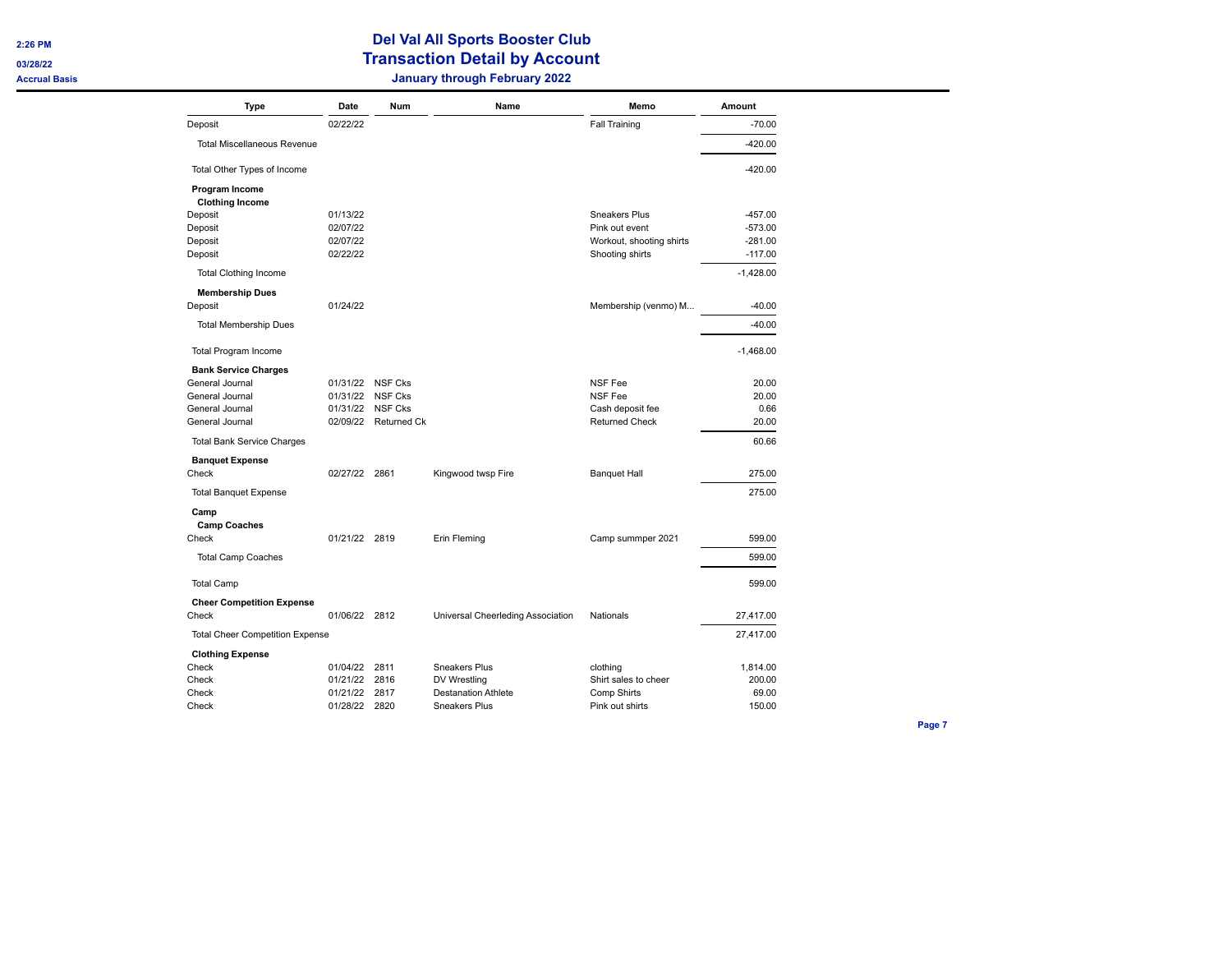**03/28/22** 

### **Del Val All Sports Booster Club Transaction Detail by Account Accrual Basis January through February 2022**

| <b>Type</b>                              | Date          | Num                  | Name                              | Memo                     | Amount      |
|------------------------------------------|---------------|----------------------|-----------------------------------|--------------------------|-------------|
| Deposit                                  | 02/22/22      |                      |                                   | Fall Training            | $-70.00$    |
| <b>Total Miscellaneous Revenue</b>       |               |                      |                                   |                          | $-420.00$   |
| Total Other Types of Income              |               |                      |                                   |                          | $-420.00$   |
| Program Income<br><b>Clothing Income</b> |               |                      |                                   |                          |             |
| Deposit                                  | 01/13/22      |                      |                                   | Sneakers Plus            | $-457.00$   |
| Deposit                                  | 02/07/22      |                      |                                   | Pink out event           | $-573.00$   |
| Deposit                                  | 02/07/22      |                      |                                   | Workout, shooting shirts | $-281.00$   |
| Deposit                                  | 02/22/22      |                      |                                   | Shooting shirts          | $-117.00$   |
| <b>Total Clothing Income</b>             |               |                      |                                   |                          | $-1,428.00$ |
| <b>Membership Dues</b><br>Deposit        | 01/24/22      |                      |                                   | Membership (venmo) M     | $-40.00$    |
| <b>Total Membership Dues</b>             |               |                      |                                   |                          | $-40.00$    |
|                                          |               |                      |                                   |                          |             |
| <b>Total Program Income</b>              |               |                      |                                   |                          | $-1,468.00$ |
| <b>Bank Service Charges</b>              |               |                      |                                   |                          |             |
| General Journal                          | 01/31/22      | NSF Cks              |                                   | <b>NSF Fee</b>           | 20.00       |
| General Journal                          | 01/31/22      | NSF Cks              |                                   | NSF Fee                  | 20.00       |
| General Journal                          | 01/31/22      | <b>NSF Cks</b>       |                                   | Cash deposit fee         | 0.66        |
| General Journal                          |               | 02/09/22 Returned Ck |                                   | <b>Returned Check</b>    | 20.00       |
| <b>Total Bank Service Charges</b>        |               |                      |                                   |                          | 60.66       |
| <b>Banquet Expense</b><br>Check          | 02/27/22 2861 |                      | Kingwood twsp Fire                | <b>Banquet Hall</b>      | 275.00      |
| <b>Total Banquet Expense</b>             |               |                      |                                   |                          | 275.00      |
|                                          |               |                      |                                   |                          |             |
| Camp<br><b>Camp Coaches</b>              |               |                      |                                   |                          |             |
| Check                                    | 01/21/22 2819 |                      | Erin Fleming                      | Camp summper 2021        | 599.00      |
|                                          |               |                      |                                   |                          |             |
| <b>Total Camp Coaches</b>                |               |                      |                                   |                          | 599.00      |
| <b>Total Camp</b>                        |               |                      |                                   |                          | 599.00      |
| <b>Cheer Competition Expense</b>         |               |                      |                                   |                          |             |
| Check                                    | 01/06/22 2812 |                      | Universal Cheerleding Association | Nationals                | 27,417.00   |
| <b>Total Cheer Competition Expense</b>   |               |                      |                                   |                          | 27,417.00   |
| <b>Clothing Expense</b>                  |               |                      |                                   |                          |             |
| Check                                    | 01/04/22      | 2811                 | <b>Sneakers Plus</b>              | clothing                 | 1,814.00    |
| Check                                    | 01/21/22 2816 |                      | DV Wrestling                      | Shirt sales to cheer     | 200.00      |
| Check                                    | 01/21/22      | 2817                 | <b>Destanation Athlete</b>        | Comp Shirts              | 69.00       |
| Check                                    | 01/28/22 2820 |                      | <b>Sneakers Plus</b>              | Pink out shirts          | 150.00      |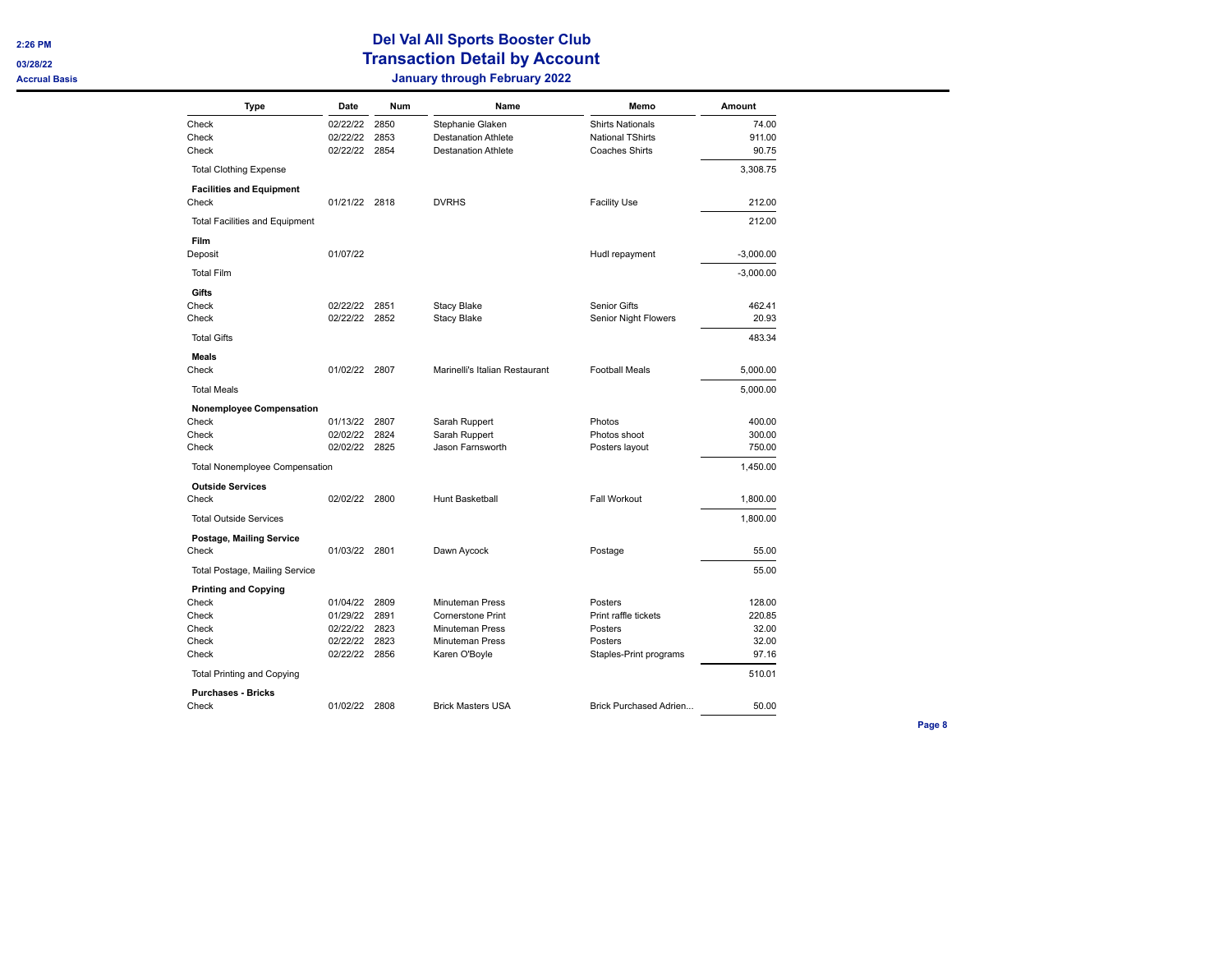| <b>Type</b>                           | Date                 | Num          | Name                                               | Memo                            | Amount          |
|---------------------------------------|----------------------|--------------|----------------------------------------------------|---------------------------------|-----------------|
| Check                                 | 02/22/22             | 2850         | Stephanie Glaken                                   | <b>Shirts Nationals</b>         | 74.00           |
| Check                                 | 02/22/22             | 2853         | <b>Destanation Athlete</b>                         | <b>National TShirts</b>         | 911.00          |
| Check                                 | 02/22/22 2854        |              | <b>Destanation Athlete</b>                         | <b>Coaches Shirts</b>           | 90.75           |
| <b>Total Clothing Expense</b>         |                      |              |                                                    |                                 | 3,308.75        |
| <b>Facilities and Equipment</b>       |                      |              |                                                    |                                 |                 |
| Check                                 | 01/21/22 2818        |              | <b>DVRHS</b>                                       | <b>Facility Use</b>             | 212.00          |
| <b>Total Facilities and Equipment</b> |                      |              |                                                    |                                 | 212.00          |
| Film                                  |                      |              |                                                    |                                 |                 |
| Deposit                               | 01/07/22             |              |                                                    | Hudl repayment                  | $-3,000.00$     |
| <b>Total Film</b>                     |                      |              |                                                    |                                 | $-3,000.00$     |
| Gifts                                 |                      |              |                                                    |                                 |                 |
| Check                                 | 02/22/22 2851        |              | <b>Stacy Blake</b>                                 | Senior Gifts                    | 462.41          |
| Check                                 | 02/22/22 2852        |              | <b>Stacy Blake</b>                                 | Senior Night Flowers            | 20.93           |
| <b>Total Gifts</b>                    |                      |              |                                                    |                                 | 483.34          |
| <b>Meals</b>                          |                      |              |                                                    |                                 |                 |
| Check                                 | 01/02/22 2807        |              | Marinelli's Italian Restaurant                     | <b>Football Meals</b>           | 5,000.00        |
| <b>Total Meals</b>                    |                      |              |                                                    |                                 | 5,000.00        |
| Nonemployee Compensation              |                      |              |                                                    |                                 |                 |
| Check                                 | 01/13/22             | 2807         | Sarah Ruppert                                      | Photos                          | 400.00          |
| Check                                 | 02/02/22             | 2824         | Sarah Ruppert                                      | Photos shoot                    | 300.00          |
| Check                                 | 02/02/22             | 2825         | Jason Farnsworth                                   | Posters layout                  | 750.00          |
| <b>Total Nonemployee Compensation</b> |                      |              |                                                    |                                 | 1,450.00        |
| <b>Outside Services</b>               |                      |              |                                                    |                                 |                 |
| Check                                 | 02/02/22 2800        |              | Hunt Basketball                                    | Fall Workout                    | 1,800.00        |
| <b>Total Outside Services</b>         |                      |              |                                                    |                                 | 1,800.00        |
| Postage, Mailing Service              |                      |              |                                                    |                                 |                 |
| Check                                 | 01/03/22 2801        |              | Dawn Aycock                                        | Postage                         | 55.00           |
| Total Postage, Mailing Service        |                      |              |                                                    |                                 | 55.00           |
| <b>Printing and Copying</b>           |                      |              |                                                    |                                 |                 |
| Check                                 | 01/04/22             | 2809         | <b>Minuteman Press</b>                             | Posters                         | 128.00          |
| Check<br>Check                        | 01/29/22<br>02/22/22 | 2891<br>2823 | <b>Cornerstone Print</b><br><b>Minuteman Press</b> | Print raffle tickets<br>Posters | 220.85<br>32.00 |
| Check                                 | 02/22/22             | 2823         | <b>Minuteman Press</b>                             | Posters                         | 32.00           |
| Check                                 | 02/22/22 2856        |              | Karen O'Boyle                                      | Staples-Print programs          | 97.16           |
| <b>Total Printing and Copying</b>     |                      |              |                                                    |                                 | 510.01          |
| <b>Purchases - Bricks</b>             |                      |              |                                                    |                                 |                 |
| Check                                 | 01/02/22 2808        |              | <b>Brick Masters USA</b>                           | Brick Purchased Adrien          | 50.00           |
|                                       |                      |              |                                                    |                                 |                 |